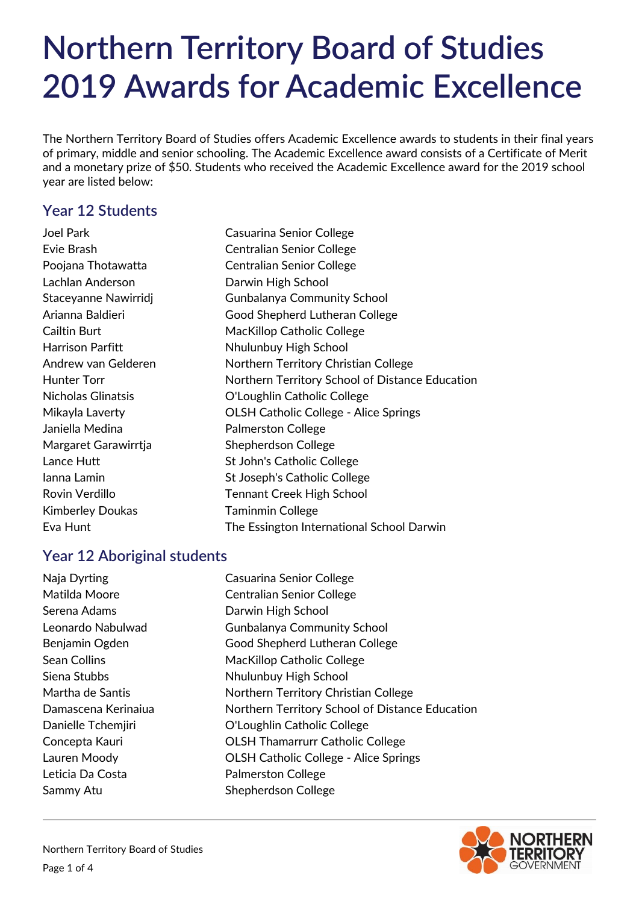The Northern Territory Board of Studies offers Academic Excellence awards to students in their final years of primary, middle and senior schooling. The Academic Excellence award consists of a Certificate of Merit and a monetary prize of \$50. Students who received the Academic Excellence award for the 2019 school year are listed below:

# **Year 12 Students**

Joel Park Casuarina Senior College Lachlan Anderson **Darwin High School** Janiella Medina **Palmerston College** Margaret Garawirrtia Shepherdson College Kimberley Doukas Taminmin College

Evie Brash Centralian Senior College Poojana Thotawatta **Centralian Senior College** Staceyanne Nawirridj Gunbalanya Community School Arianna Baldieri Good Shepherd Lutheran College Cailtin Burt **MacKillop Catholic College** Harrison Parfitt **Nhulunbuy High School** Andrew van Gelderen Northern Territory Christian College Hunter Torr **Northern Territory School of Distance Education** Nicholas Glinatsis O'Loughlin Catholic College Mikayla Laverty OLSH Catholic College - Alice Springs Lance Hutt St John's Catholic College Ianna Lamin St Joseph's Catholic College Rovin Verdillo **Tennant Creek High School** Eva Hunt The Essington International School Darwin

# **Year 12 Aboriginal students**

Naja Dyrting Casuarina Senior College Matilda Moore Centralian Senior College Serena Adams **Darwin High School** Leonardo Nabulwad Gunbalanya Community School Benjamin Ogden Good Shepherd Lutheran College Sean Collins MacKillop Catholic College Siena Stubbs Nhulunbuy High School Martha de Santis Northern Territory Christian College Damascena Kerinaiua Northern Territory School of Distance Education Danielle Tchemjiri O'Loughlin Catholic College Concepta Kauri OLSH Thamarrurr Catholic College Lauren Moody OLSH Catholic College - Alice Springs Leticia Da Costa **Palmerston College** Sammy Atu Shepherdson College

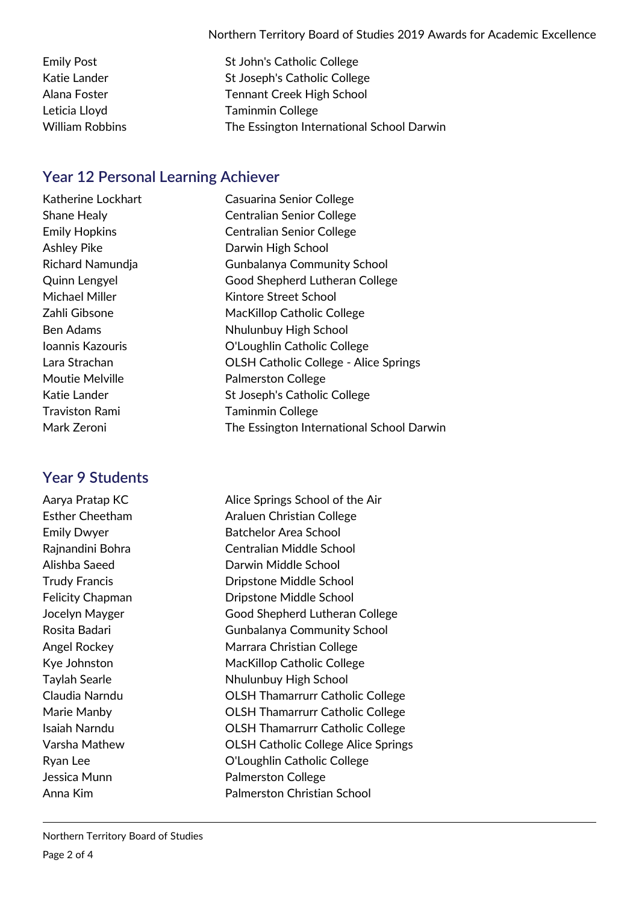Emily Post St John's Catholic College Katie Lander **St Joseph's Catholic College** Alana Foster Tennant Creek High School Leticia Lloyd Taminmin College William Robbins The Essington International School Darwin

## **Year 12 Personal Learning Achiever**

Traviston Rami Taminmin College

### **Year 9 Students**

Katherine Lockhart Casuarina Senior College Shane Healy Centralian Senior College Emily Hopkins Centralian Senior College Ashley Pike **Darwin High School** Richard Namundja Gunbalanya Community School Quinn Lengyel Good Shepherd Lutheran College Michael Miller **Kintore Street School** Zahli Gibsone MacKillop Catholic College Ben Adams Nhulunbuy High School Ioannis Kazouris O'Loughlin Catholic College Lara Strachan OLSH Catholic College - Alice Springs Moutie Melville **National Moutie** Melville Katie Lander **St Joseph's Catholic College** Mark Zeroni The Essington International School Darwin

Aarya Pratap KC Alice Springs School of the Air Esther Cheetham **Araluen Christian College** Emily Dwyer Batchelor Area School Rajnandini Bohra Centralian Middle School Alishba Saeed Darwin Middle School Trudy Francis Dripstone Middle School Felicity Chapman **Dripstone Middle School** Jocelyn Mayger Good Shepherd Lutheran College Rosita Badari Gunbalanya Community School Angel Rockey Marrara Christian College Kye Johnston MacKillop Catholic College Taylah Searle **Nights** Nhulunbuy High School Claudia Narndu OLSH Thamarrurr Catholic College Marie Manby OLSH Thamarrurr Catholic College Isaiah Narndu OLSH Thamarrurr Catholic College Varsha Mathew OLSH Catholic College Alice Springs Ryan Lee **O'Loughlin Catholic College** Jessica Munn **Palmerston College** Anna Kim Palmerston Christian School

Northern Territory Board of Studies Page 2 of 4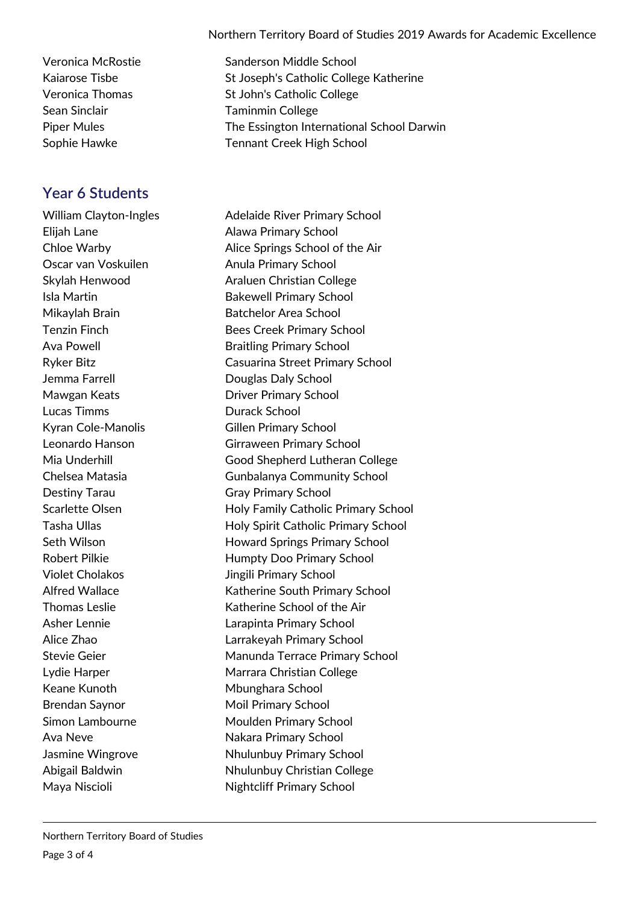Sean Sinclair **Taminmin College** 

### **Year 6 Students**

Oscar van Voskuilen Anula Primary School Jemma Farrell Douglas Daly School Lucas Timms **Durack School** Kyran Cole-Manolis Gillen Primary School Destiny Tarau Gray Primary School Violet Cholakos Jingili Primary School Keane Kunoth Mbunghara School Brendan Saynor Moil Primary School

Veronica McRostie Sanderson Middle School Kaiarose Tisbe St Joseph's Catholic College Katherine Veronica Thomas St John's Catholic College Piper Mules The Essington International School Darwin Sophie Hawke Tennant Creek High School

William Clayton-Ingles **Adelaide River Primary School** Elijah Lane **Alawa Primary School** Chloe Warby Alice Springs School of the Air Skylah Henwood **Araluen Christian College** Isla Martin **Bakewell Primary School** Mikaylah Brain Batchelor Area School Tenzin Finch Bees Creek Primary School Ava Powell **Audition** Braitling Primary School Ryker Bitz Casuarina Street Primary School Mawgan Keats Driver Primary School Leonardo Hanson Girraween Primary School Mia Underhill Good Shepherd Lutheran College Chelsea Matasia Gunbalanya Community School Scarlette Olsen Holy Family Catholic Primary School Tasha Ullas **Holy Spirit Catholic Primary School** Seth Wilson **Howard Springs Primary School** Robert Pilkie **Humpty Doo Primary School** Alfred Wallace **Katherine South Primary School** Thomas Leslie Katherine School of the Air Asher Lennie Larapinta Primary School Alice Zhao Larrakeyah Primary School Stevie Geier **Manunda Terrace Primary School** Lydie Harper **Marrara Christian College** Simon Lambourne Moulden Primary School Ava Neve Nakara Primary School Jasmine Wingrove Nhulunbuy Primary School Abigail Baldwin Nhulunbuy Christian College Maya Niscioli Nightcliff Primary School